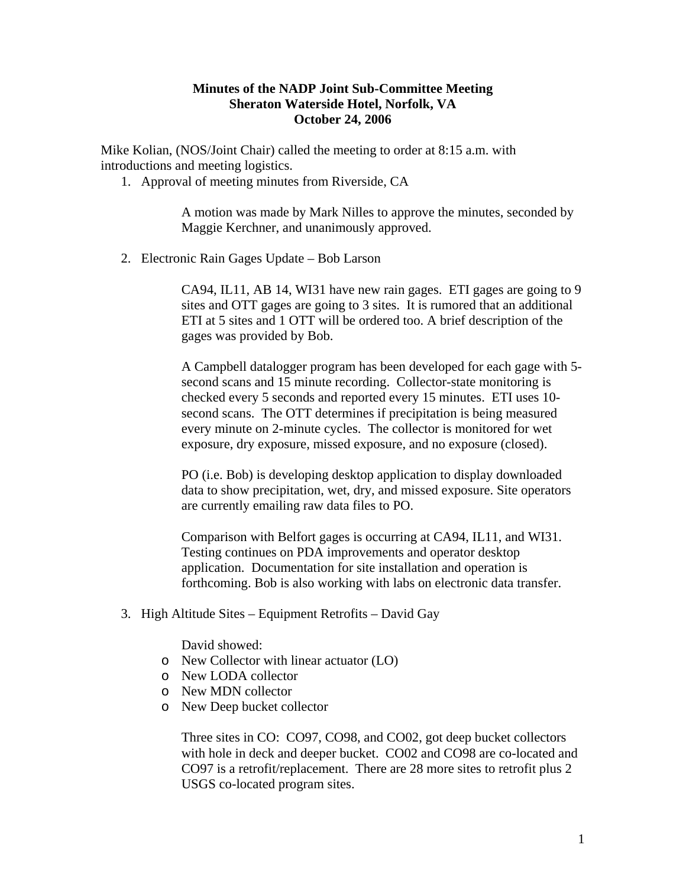## **Minutes of the NADP Joint Sub-Committee Meeting Sheraton Waterside Hotel, Norfolk, VA October 24, 2006**

Mike Kolian, (NOS/Joint Chair) called the meeting to order at 8:15 a.m. with introductions and meeting logistics.

1. Approval of meeting minutes from Riverside, CA

A motion was made by Mark Nilles to approve the minutes, seconded by Maggie Kerchner, and unanimously approved.

2. Electronic Rain Gages Update – Bob Larson

CA94, IL11, AB 14, WI31 have new rain gages. ETI gages are going to 9 sites and OTT gages are going to 3 sites. It is rumored that an additional ETI at 5 sites and 1 OTT will be ordered too. A brief description of the gages was provided by Bob.

A Campbell datalogger program has been developed for each gage with 5 second scans and 15 minute recording. Collector-state monitoring is checked every 5 seconds and reported every 15 minutes. ETI uses 10 second scans. The OTT determines if precipitation is being measured every minute on 2-minute cycles. The collector is monitored for wet exposure, dry exposure, missed exposure, and no exposure (closed).

PO (i.e. Bob) is developing desktop application to display downloaded data to show precipitation, wet, dry, and missed exposure. Site operators are currently emailing raw data files to PO.

Comparison with Belfort gages is occurring at CA94, IL11, and WI31. Testing continues on PDA improvements and operator desktop application. Documentation for site installation and operation is forthcoming. Bob is also working with labs on electronic data transfer.

3. High Altitude Sites – Equipment Retrofits – David Gay

David showed:

- o New Collector with linear actuator (LO)
- o New LODA collector
- o New MDN collector
- o New Deep bucket collector

Three sites in CO: CO97, CO98, and CO02, got deep bucket collectors with hole in deck and deeper bucket. CO02 and CO98 are co-located and CO97 is a retrofit/replacement. There are 28 more sites to retrofit plus 2 USGS co-located program sites.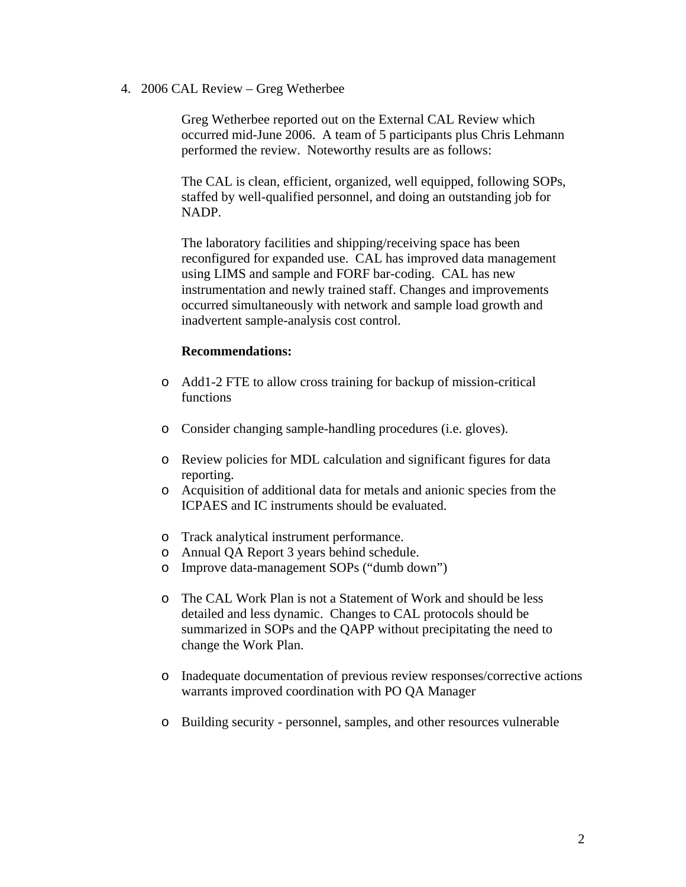4. 2006 CAL Review – Greg Wetherbee

Greg Wetherbee reported out on the External CAL Review which occurred mid-June 2006. A team of 5 participants plus Chris Lehmann performed the review. Noteworthy results are as follows:

The CAL is clean, efficient, organized, well equipped, following SOPs, staffed by well-qualified personnel, and doing an outstanding job for NADP.

The laboratory facilities and shipping/receiving space has been reconfigured for expanded use. CAL has improved data management using LIMS and sample and FORF bar-coding. CAL has new instrumentation and newly trained staff. Changes and improvements occurred simultaneously with network and sample load growth and inadvertent sample-analysis cost control.

## **Recommendations:**

- o Add1-2 FTE to allow cross training for backup of mission-critical functions
- o Consider changing sample-handling procedures (i.e. gloves).
- o Review policies for MDL calculation and significant figures for data reporting.
- o Acquisition of additional data for metals and anionic species from the ICPAES and IC instruments should be evaluated.
- o Track analytical instrument performance.
- o Annual QA Report 3 years behind schedule.
- o Improve data-management SOPs ("dumb down")
- o The CAL Work Plan is not a Statement of Work and should be less detailed and less dynamic. Changes to CAL protocols should be summarized in SOPs and the QAPP without precipitating the need to change the Work Plan.
- o Inadequate documentation of previous review responses/corrective actions warrants improved coordination with PO QA Manager
- o Building security personnel, samples, and other resources vulnerable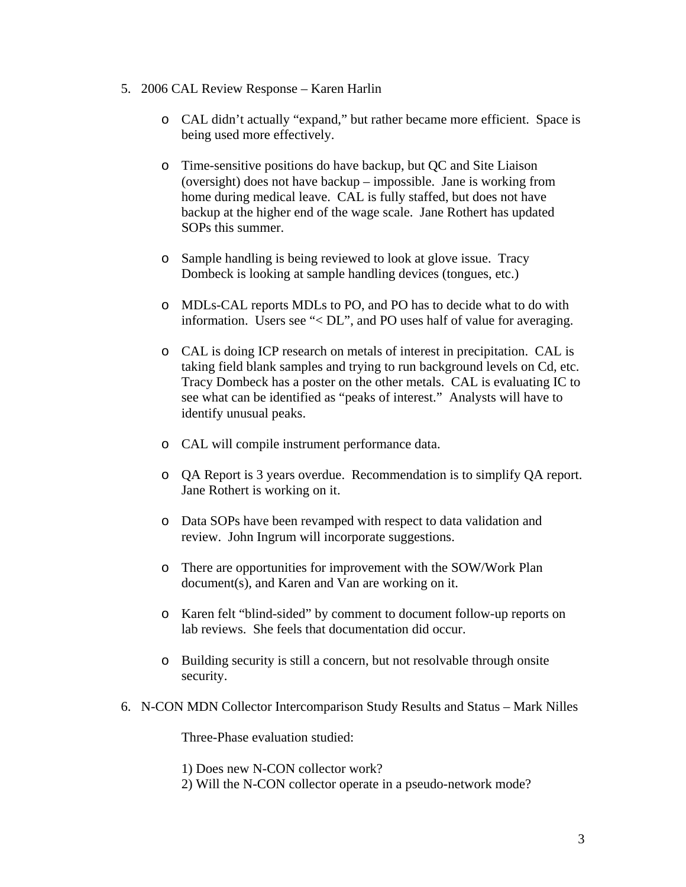- 5. 2006 CAL Review Response Karen Harlin
	- o CAL didn't actually "expand," but rather became more efficient. Space is being used more effectively.
	- o Time-sensitive positions do have backup, but QC and Site Liaison (oversight) does not have backup – impossible. Jane is working from home during medical leave. CAL is fully staffed, but does not have backup at the higher end of the wage scale. Jane Rothert has updated SOPs this summer.
	- o Sample handling is being reviewed to look at glove issue. Tracy Dombeck is looking at sample handling devices (tongues, etc.)
	- o MDLs-CAL reports MDLs to PO, and PO has to decide what to do with information. Users see "< DL", and PO uses half of value for averaging.
	- o CAL is doing ICP research on metals of interest in precipitation. CAL is taking field blank samples and trying to run background levels on Cd, etc. Tracy Dombeck has a poster on the other metals. CAL is evaluating IC to see what can be identified as "peaks of interest." Analysts will have to identify unusual peaks.
	- o CAL will compile instrument performance data.
	- o QA Report is 3 years overdue. Recommendation is to simplify QA report. Jane Rothert is working on it.
	- o Data SOPs have been revamped with respect to data validation and review. John Ingrum will incorporate suggestions.
	- o There are opportunities for improvement with the SOW/Work Plan document(s), and Karen and Van are working on it.
	- o Karen felt "blind-sided" by comment to document follow-up reports on lab reviews. She feels that documentation did occur.
	- o Building security is still a concern, but not resolvable through onsite security.
- 6. N-CON MDN Collector Intercomparison Study Results and Status Mark Nilles

Three-Phase evaluation studied:

1) Does new N-CON collector work?

2) Will the N-CON collector operate in a pseudo-network mode?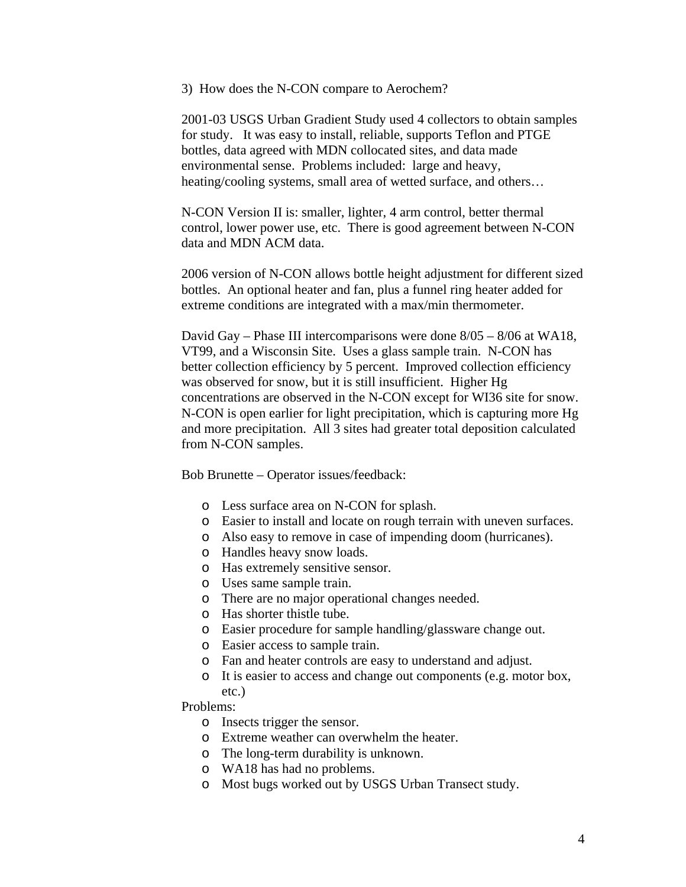3) How does the N-CON compare to Aerochem?

2001-03 USGS Urban Gradient Study used 4 collectors to obtain samples for study. It was easy to install, reliable, supports Teflon and PTGE bottles, data agreed with MDN collocated sites, and data made environmental sense. Problems included: large and heavy, heating/cooling systems, small area of wetted surface, and others…

N-CON Version II is: smaller, lighter, 4 arm control, better thermal control, lower power use, etc. There is good agreement between N-CON data and MDN ACM data.

2006 version of N-CON allows bottle height adjustment for different sized bottles. An optional heater and fan, plus a funnel ring heater added for extreme conditions are integrated with a max/min thermometer.

David Gay – Phase III intercomparisons were done 8/05 – 8/06 at WA18, VT99, and a Wisconsin Site. Uses a glass sample train. N-CON has better collection efficiency by 5 percent. Improved collection efficiency was observed for snow, but it is still insufficient. Higher Hg concentrations are observed in the N-CON except for WI36 site for snow. N-CON is open earlier for light precipitation, which is capturing more Hg and more precipitation. All 3 sites had greater total deposition calculated from N-CON samples.

Bob Brunette – Operator issues/feedback:

- o Less surface area on N-CON for splash.
- o Easier to install and locate on rough terrain with uneven surfaces.
- o Also easy to remove in case of impending doom (hurricanes).
- o Handles heavy snow loads.
- o Has extremely sensitive sensor.
- o Uses same sample train.
- o There are no major operational changes needed.
- o Has shorter thistle tube.
- o Easier procedure for sample handling/glassware change out.
- o Easier access to sample train.
- o Fan and heater controls are easy to understand and adjust.
- o It is easier to access and change out components (e.g. motor box, etc.)

Problems:

- o Insects trigger the sensor.
- o Extreme weather can overwhelm the heater.
- o The long-term durability is unknown.
- o WA18 has had no problems.
- o Most bugs worked out by USGS Urban Transect study.